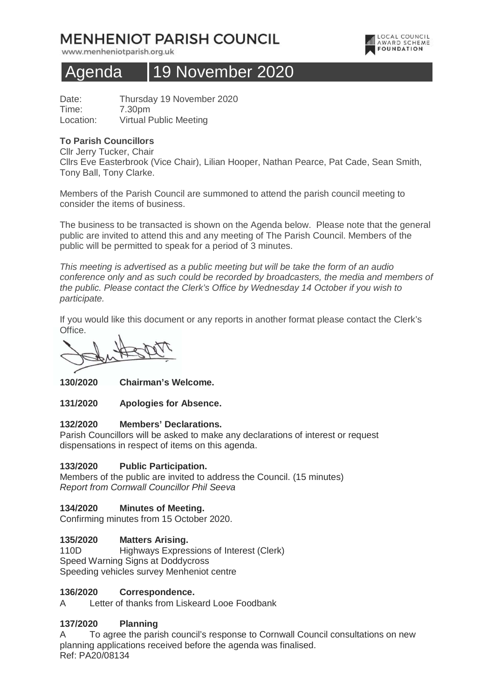# **MENHENIOT PARISH COUNCIL**

www.menheniotparish.org.uk



## Agenda 19 November 2020

Date: Thursday 19 November 2020 Time: 7.30pm Location: Virtual Public Meeting

#### **To Parish Councillors**

Cllr Jerry Tucker, Chair Cllrs Eve Easterbrook (Vice Chair), Lilian Hooper, Nathan Pearce, Pat Cade, Sean Smith, Tony Ball, Tony Clarke.

Members of the Parish Council are summoned to attend the parish council meeting to consider the items of business.

The business to be transacted is shown on the Agenda below. Please note that the general public are invited to attend this and any meeting of The Parish Council. Members of the public will be permitted to speak for a period of 3 minutes.

This meeting is advertised as a public meeting but will be take the form of an audio conference only and as such could be recorded by broadcasters, the media and members of the public. Please contact the Clerk's Office by Wednesday 14 October if you wish to participate.

If you would like this document or any reports in another format please contact the Clerk's Office.

**130/2020 Chairman's Welcome.** 

**131/2020 Apologies for Absence.** 

#### **132/2020 Members' Declarations.**

Parish Councillors will be asked to make any declarations of interest or request dispensations in respect of items on this agenda.

## **133/2020 Public Participation.**

Members of the public are invited to address the Council. (15 minutes) Report from Cornwall Councillor Phil Seeva

## **134/2020 Minutes of Meeting.**

Confirming minutes from 15 October 2020.

#### **135/2020 Matters Arising.**

110D Highways Expressions of Interest (Clerk) Speed Warning Signs at Doddycross Speeding vehicles survey Menheniot centre

#### **136/2020 Correspondence.**

A Letter of thanks from Liskeard Looe Foodbank

## **137/2020 Planning**

A To agree the parish council's response to Cornwall Council consultations on new planning applications received before the agenda was finalised. Ref: PA20/08134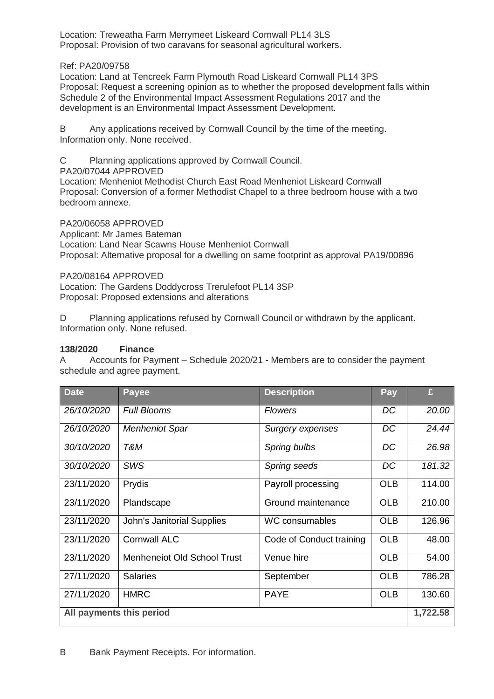Location: Treweatha Farm Merrymeet Liskeard Cornwall PL14 3LS Proposal: Provision of two caravans for seasonal agricultural workers.

#### Ref: PA20/09758

Location: Land at Tencreek Farm Plymouth Road Liskeard Cornwall PL14 3PS Proposal: Request a screening opinion as to whether the proposed development falls within Schedule 2 of the Environmental Impact Assessment Regulations 2017 and the development is an Environmental Impact Assessment Development.

B Any applications received by Cornwall Council by the time of the meeting. Information only. None received.

C Planning applications approved by Cornwall Council.

PA20/07044 APPROVED

Location: Menheniot Methodist Church East Road Menheniot Liskeard Cornwall Proposal: Conversion of a former Methodist Chapel to a three bedroom house with a two bedroom annexe.

PA20/06058 APPROVED

Applicant: Mr James Bateman

Location: Land Near Scawns House Menheniot Cornwall Proposal: Alternative proposal for a dwelling on same footprint as approval PA19/00896

PA20/08164 APPROVED

Location: The Gardens Doddycross Trerulefoot PL14 3SP Proposal: Proposed extensions and alterations

D Planning applications refused by Cornwall Council or withdrawn by the applicant. Information only. None refused.

## **138/2020 Finance**

A Accounts for Payment – Schedule 2020/21 - Members are to consider the payment schedule and agree payment.

| <b>Date</b>              | <b>Payee</b>                | <b>Description</b>       | Pay        | £      |
|--------------------------|-----------------------------|--------------------------|------------|--------|
| 26/10/2020               | <b>Full Blooms</b>          | <b>Flowers</b>           | DC         | 20.00  |
| 26/10/2020               | <b>Menheniot Spar</b>       | <b>Surgery expenses</b>  | DC         | 24.44  |
| 30/10/2020               | T&M                         | Spring bulbs             | DC         | 26.98  |
| 30/10/2020               | <b>SWS</b>                  | Spring seeds             | DC         | 181.32 |
| 23/11/2020               | Prydis                      | Payroll processing       | <b>OLB</b> | 114.00 |
| 23/11/2020               | Plandscape                  | Ground maintenance       | <b>OLB</b> | 210.00 |
| 23/11/2020               | John's Janitorial Supplies  | <b>WC consumables</b>    | <b>OLB</b> | 126.96 |
| 23/11/2020               | <b>Cornwall ALC</b>         | Code of Conduct training | <b>OLB</b> | 48.00  |
| 23/11/2020               | Menheneiot Old School Trust | Venue hire               | <b>OLB</b> | 54.00  |
| 27/11/2020               | <b>Salaries</b>             | September                | <b>OLB</b> | 786.28 |
| 27/11/2020               | <b>HMRC</b>                 | <b>PAYE</b>              | <b>OLB</b> | 130.60 |
| All payments this period |                             |                          |            |        |